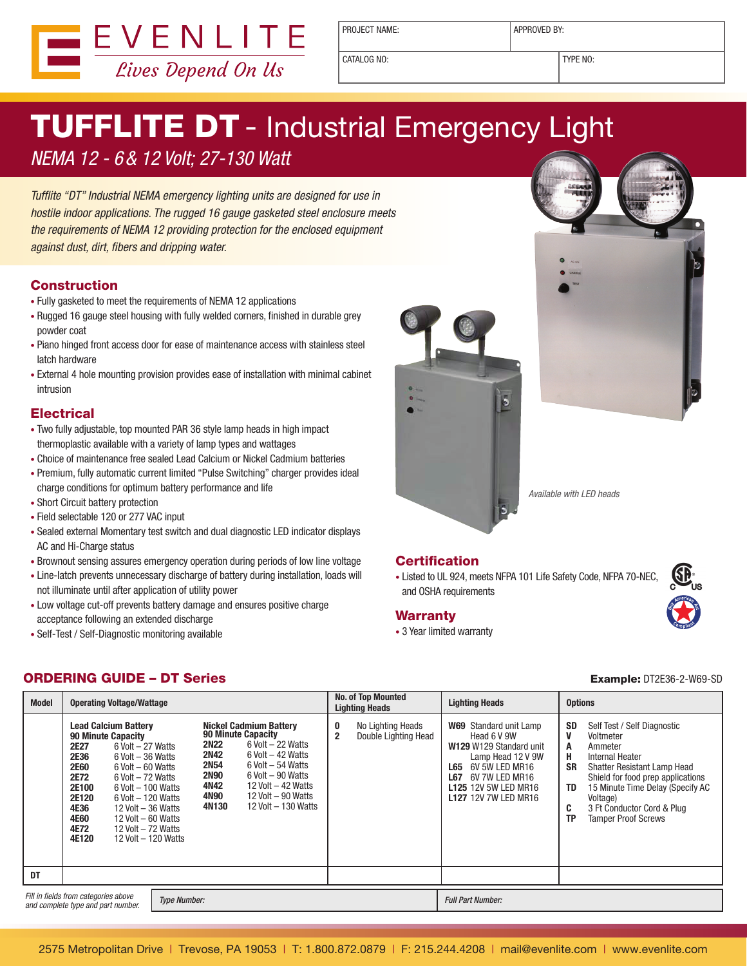

PROJECT NAME:  $\vert$  APPROVED BY:

CATALOG NO: TYPE NO:

# **TUFFLITE DT** - Industrial Emergency Light

NEMA 12 - 6& 12 Volt; 27-130 Watt

Tufflite "DT" Industrial NEMA emergency lighting units are designed for use in hostile indoor applications. The rugged 16 gauge gasketed steel enclosure meets the requirements of NEMA 12 providing protection for the enclosed equipment against dust, dirt, fibers and dripping water.

#### **Construction**

- • Fully gasketed to meet the requirements of NEMA 12 applications
- Rugged 16 gauge steel housing with fully welded corners, finished in durable grey powder coat
- Piano hinged front access door for ease of maintenance access with stainless steel latch hardware
- External 4 hole mounting provision provides ease of installation with minimal cabinet intrusion

### **Electrical**

- Two fully adjustable, top mounted PAR 36 style lamp heads in high impact thermoplastic available with a variety of lamp types and wattages
- Choice of maintenance free sealed Lead Calcium or Nickel Cadmium batteries
- Premium, fully automatic current limited "Pulse Switching" charger provides ideal charge conditions for optimum battery performance and life
- Short Circuit battery protection
- • Field selectable 120 or 277 VAC input
- • Sealed external Momentary test switch and dual diagnostic LED indicator displays AC and Hi-Charge status
- Brownout sensing assures emergency operation during periods of low line voltage
- Line-latch prevents unnecessary discharge of battery during installation, loads will not illuminate until after application of utility power
- Low voltage cut-off prevents battery damage and ensures positive charge acceptance following an extended discharge
- Self-Test / Self-Diagnostic monitoring available





Available with LED heads

#### **Certification**

• Listed to UL 924, meets NFPA 101 Life Safety Code, NFPA 70-NEC, and OSHA requirements

#### **Warranty**

• 3 Year limited warranty

#### **ORDERING GUIDE – DT Series Example: DT2E36-2-W69-SD**

| <b>Model</b>                                                                                      | <b>Operating Voltage/Wattage</b>                                                                                                                                                                                                                                                                                                                                                                                 |                                                                                                                                                                                                                                                                                                                        | <b>No. of Top Mounted</b><br><b>Lighting Heads</b>               | <b>Lighting Heads</b>                                                                                                                                                                                               | <b>Options</b>                                                                                                                                                                                                                                                                                                          |  |
|---------------------------------------------------------------------------------------------------|------------------------------------------------------------------------------------------------------------------------------------------------------------------------------------------------------------------------------------------------------------------------------------------------------------------------------------------------------------------------------------------------------------------|------------------------------------------------------------------------------------------------------------------------------------------------------------------------------------------------------------------------------------------------------------------------------------------------------------------------|------------------------------------------------------------------|---------------------------------------------------------------------------------------------------------------------------------------------------------------------------------------------------------------------|-------------------------------------------------------------------------------------------------------------------------------------------------------------------------------------------------------------------------------------------------------------------------------------------------------------------------|--|
|                                                                                                   | <b>Lead Calcium Battery</b><br><b>90 Minute Capacity</b><br>2E27<br>$6$ Volt $-27$ Watts<br><b>2E36</b><br>$6$ Volt $-36$ Watts<br><b>2E60</b><br>$6$ Volt $-60$ Watts<br>2E72<br>$6$ Volt $-72$ Watts<br>2E100<br>$6$ Volt $-100$ Watts<br>2E120<br>$6$ Volt $-120$ Watts<br>4E36<br>12 Volt $-36$ Watts<br><b>4E60</b><br>12 Volt $-60$ Watts<br>4E72<br>12 Volt $-72$ Watts<br>4E120<br>12 Volt $-$ 120 Watts | <b>Nickel Cadmium Battery</b><br><b>90 Minute Capacity</b><br><b>2N22</b><br>$6$ Volt $-22$ Watts<br><b>2N42</b><br>$6$ Volt $-42$ Watts<br><b>2N54</b><br>$6$ Volt $-54$ Watts<br><b>2N90</b><br>$6$ Volt $-90$ Watts<br>4N42<br>12 Volt $-$ 42 Watts<br>4N90<br>12 Volt - 90 Watts<br>4N130<br>12 Volt $-$ 130 Watts | 0<br>No Lighting Heads<br>$\overline{2}$<br>Double Lighting Head | <b>W69</b> Standard unit Lamp<br>Head 6 V 9W<br>W129 W129 Standard unit<br>Lamp Head 12 V 9W<br>6V 5W LED MR16<br>L65<br><b>L67</b><br>6V 7W LED MR16<br><b>L125 12V 5W LED MR16</b><br><b>L127 12V 7W LED MR16</b> | <b>SD</b><br>Self Test / Self Diagnostic<br>V<br>Voltmeter<br>A<br>Ammeter<br>н<br>Internal Heater<br><b>SR</b><br>Shatter Resistant Lamp Head<br>Shield for food prep applications<br>15 Minute Time Delay (Specify AC<br>TD<br>Voltage)<br>C<br>3 Ft Conductor Cord & Plug<br><b>TP</b><br><b>Tamper Proof Screws</b> |  |
| DT                                                                                                |                                                                                                                                                                                                                                                                                                                                                                                                                  |                                                                                                                                                                                                                                                                                                                        |                                                                  |                                                                                                                                                                                                                     |                                                                                                                                                                                                                                                                                                                         |  |
| Fill in fields from categories above<br><b>Type Number:</b><br>and complete type and part number. |                                                                                                                                                                                                                                                                                                                                                                                                                  |                                                                                                                                                                                                                                                                                                                        |                                                                  | <b>Full Part Number:</b>                                                                                                                                                                                            |                                                                                                                                                                                                                                                                                                                         |  |